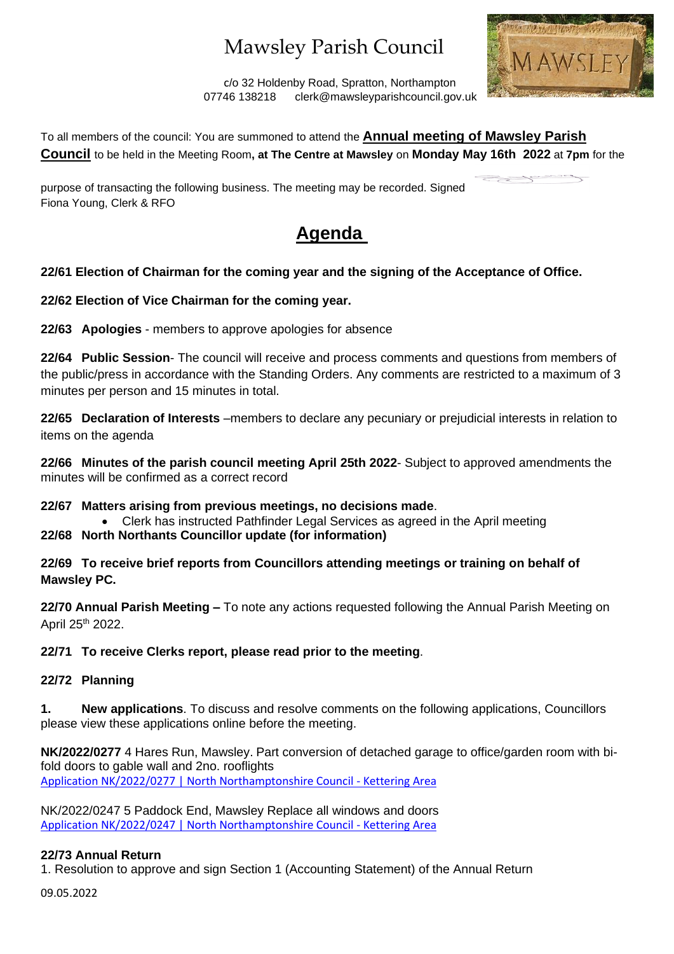# Mawsley Parish Council



 c/o 32 Holdenby Road, Spratton, Northampton 07746 138218 clerk@mawsleyparishcouncil.gov.uk

To all members of the council: You are summoned to attend the **Annual meeting of Mawsley Parish Council** to be held in the Meeting Room**, at The Centre at Mawsley** on **Monday May 16th 2022** at **7pm** for the

purpose of transacting the following business. The meeting may be recorded. Signed Fiona Young, Clerk & RFO

### **Agenda**

### **22/61 Election of Chairman for the coming year and the signing of the Acceptance of Office.**

**22/62 Election of Vice Chairman for the coming year.**

**22/63 Apologies** - members to approve apologies for absence

**22/64 Public Session**- The council will receive and process comments and questions from members of the public/press in accordance with the Standing Orders. Any comments are restricted to a maximum of 3 minutes per person and 15 minutes in total.

**22/65 Declaration of Interests** –members to declare any pecuniary or prejudicial interests in relation to items on the agenda

**22/66 Minutes of the parish council meeting April 25th 2022**- Subject to approved amendments the minutes will be confirmed as a correct record

### **22/67 Matters arising from previous meetings, no decisions made**.

- Clerk has instructed Pathfinder Legal Services as agreed in the April meeting
- **22/68 North Northants Councillor update (for information)**

**22/69 To receive brief reports from Councillors attending meetings or training on behalf of Mawsley PC.**

**22/70 Annual Parish Meeting –** To note any actions requested following the Annual Parish Meeting on April 25th 2022.

**22/71 To receive Clerks report, please read prior to the meeting**.

### **22/72 Planning**

**1. New applications**. To discuss and resolve comments on the following applications, Councillors please view these applications online before the meeting.

**NK/2022/0277** 4 Hares Run, Mawsley. Part conversion of detached garage to office/garden room with bifold doors to gable wall and 2no. rooflights [Application NK/2022/0277 | North Northamptonshire Council -](https://www.kettering.gov.uk/planningApplication/131857) Kettering Area

NK/2022/0247 5 Paddock End, Mawsley Replace all windows and doors [Application NK/2022/0247 | North Northamptonshire Council -](https://www.kettering.gov.uk/planningApplication/131845) Kettering Area

### **22/73 Annual Return**

1. Resolution to approve and sign Section 1 (Accounting Statement) of the Annual Return

09.05.2022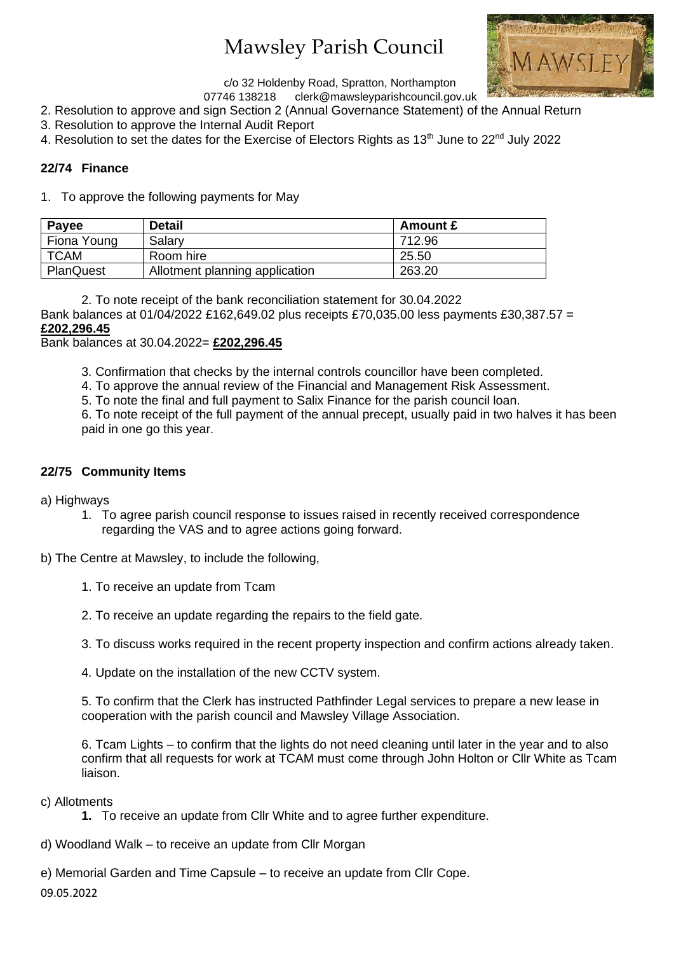# Mawsley Parish Council



c/o 32 Holdenby Road, Spratton, Northampton<br>07746 138218 clerk@mawsleyparishcouncil.go

- clerk@mawsleyparishcouncil.gov.uk
- 2. Resolution to approve and sign Section 2 (Annual Governance Statement) of the Annual Return
- 3. Resolution to approve the Internal Audit Report
- 4. Resolution to set the dates for the Exercise of Electors Rights as 13<sup>th</sup> June to 22<sup>nd</sup> July 2022

#### **22/74 Finance**

1. To approve the following payments for May

| Payee            | <b>Detail</b>                  | <b>Amount £</b> |
|------------------|--------------------------------|-----------------|
| Fiona Young      | Salary                         | 712.96          |
| TCAM             | Room hire                      | 25.50           |
| <b>PlanQuest</b> | Allotment planning application | 263.20          |

2. To note receipt of the bank reconciliation statement for 30.04.2022

Bank balances at 01/04/2022 £162,649.02 plus receipts £70,035.00 less payments £30,387.57 = **£202,296.45**

Bank balances at 30.04.2022= **£202,296.45**

- 3. Confirmation that checks by the internal controls councillor have been completed.
- 4. To approve the annual review of the Financial and Management Risk Assessment.
- 5. To note the final and full payment to Salix Finance for the parish council loan.

6. To note receipt of the full payment of the annual precept, usually paid in two halves it has been paid in one go this year.

#### **22/75 Community Items**

- a) Highways
	- 1. To agree parish council response to issues raised in recently received correspondence regarding the VAS and to agree actions going forward.
- b) The Centre at Mawsley, to include the following,
	- 1. To receive an update from Tcam
	- 2. To receive an update regarding the repairs to the field gate.
	- 3. To discuss works required in the recent property inspection and confirm actions already taken.
	- 4. Update on the installation of the new CCTV system.

5. To confirm that the Clerk has instructed Pathfinder Legal services to prepare a new lease in cooperation with the parish council and Mawsley Village Association.

6. Tcam Lights – to confirm that the lights do not need cleaning until later in the year and to also confirm that all requests for work at TCAM must come through John Holton or Cllr White as Tcam liaison.

- c) Allotments
	- **1.** To receive an update from Cllr White and to agree further expenditure.
- d) Woodland Walk to receive an update from Cllr Morgan

e) Memorial Garden and Time Capsule – to receive an update from Cllr Cope.

09.05.2022